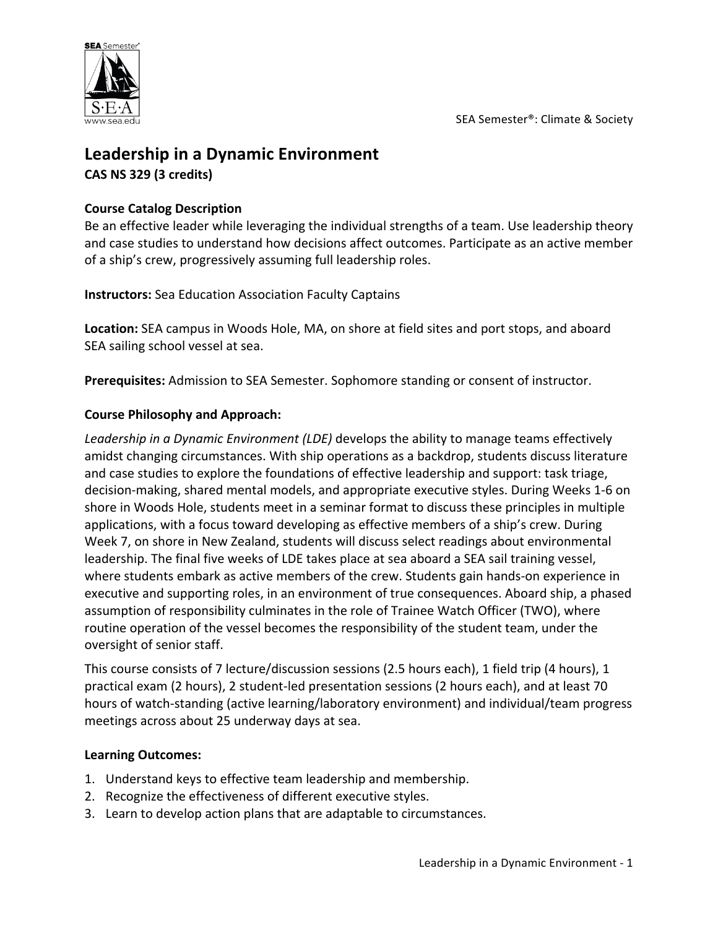

# **Leadership in a Dynamic Environment**

**CAS NS 329 (3 credits)**

### **Course Catalog Description**

Be an effective leader while leveraging the individual strengths of a team. Use leadership theory and case studies to understand how decisions affect outcomes. Participate as an active member of a ship's crew, progressively assuming full leadership roles.

**Instructors:** Sea Education Association Faculty Captains

Location: SEA campus in Woods Hole, MA, on shore at field sites and port stops, and aboard SEA sailing school vessel at sea.

**Prerequisites:** Admission to SEA Semester. Sophomore standing or consent of instructor.

### **Course Philosophy and Approach:**

Leadership in a Dynamic Environment (LDE) develops the ability to manage teams effectively amidst changing circumstances. With ship operations as a backdrop, students discuss literature and case studies to explore the foundations of effective leadership and support: task triage, decision-making, shared mental models, and appropriate executive styles. During Weeks 1-6 on shore in Woods Hole, students meet in a seminar format to discuss these principles in multiple applications, with a focus toward developing as effective members of a ship's crew. During Week 7, on shore in New Zealand, students will discuss select readings about environmental leadership. The final five weeks of LDE takes place at sea aboard a SEA sail training vessel, where students embark as active members of the crew. Students gain hands-on experience in executive and supporting roles, in an environment of true consequences. Aboard ship, a phased assumption of responsibility culminates in the role of Trainee Watch Officer (TWO), where routine operation of the vessel becomes the responsibility of the student team, under the oversight of senior staff.

This course consists of 7 lecture/discussion sessions (2.5 hours each), 1 field trip (4 hours), 1 practical exam (2 hours), 2 student-led presentation sessions (2 hours each), and at least 70 hours of watch-standing (active learning/laboratory environment) and individual/team progress meetings across about 25 underway days at sea.

#### **Learning Outcomes:**

- 1. Understand keys to effective team leadership and membership.
- 2. Recognize the effectiveness of different executive styles.
- 3. Learn to develop action plans that are adaptable to circumstances.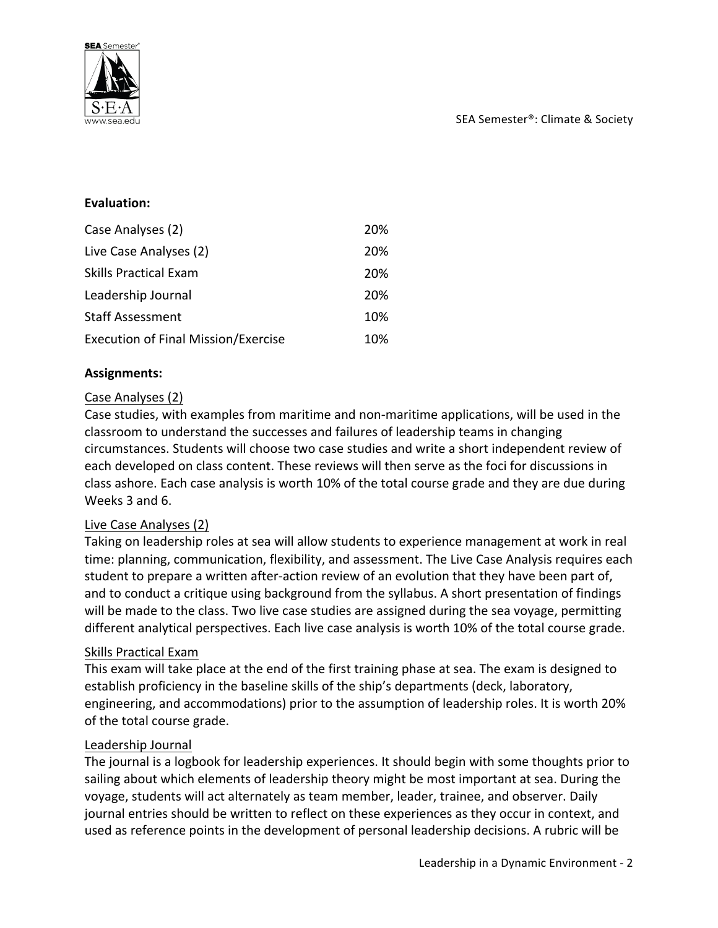

#### **Evaluation:**

| Case Analyses (2)                   | 20% |
|-------------------------------------|-----|
| Live Case Analyses (2)              | 20% |
| Skills Practical Exam               | 20% |
| Leadership Journal                  | 20% |
| <b>Staff Assessment</b>             | 10% |
| Execution of Final Mission/Exercise | 10% |

#### **Assignments:**

#### Case Analyses (2)

Case studies, with examples from maritime and non-maritime applications, will be used in the classroom to understand the successes and failures of leadership teams in changing circumstances. Students will choose two case studies and write a short independent review of each developed on class content. These reviews will then serve as the foci for discussions in class ashore. Each case analysis is worth 10% of the total course grade and they are due during Weeks 3 and 6.

#### Live Case Analyses (2)

Taking on leadership roles at sea will allow students to experience management at work in real time: planning, communication, flexibility, and assessment. The Live Case Analysis requires each student to prepare a written after-action review of an evolution that they have been part of, and to conduct a critique using background from the syllabus. A short presentation of findings will be made to the class. Two live case studies are assigned during the sea voyage, permitting different analytical perspectives. Each live case analysis is worth 10% of the total course grade.

#### Skills Practical Exam

This exam will take place at the end of the first training phase at sea. The exam is designed to establish proficiency in the baseline skills of the ship's departments (deck, laboratory, engineering, and accommodations) prior to the assumption of leadership roles. It is worth 20% of the total course grade.

#### Leadership Journal

The journal is a logbook for leadership experiences. It should begin with some thoughts prior to sailing about which elements of leadership theory might be most important at sea. During the voyage, students will act alternately as team member, leader, trainee, and observer. Daily journal entries should be written to reflect on these experiences as they occur in context, and used as reference points in the development of personal leadership decisions. A rubric will be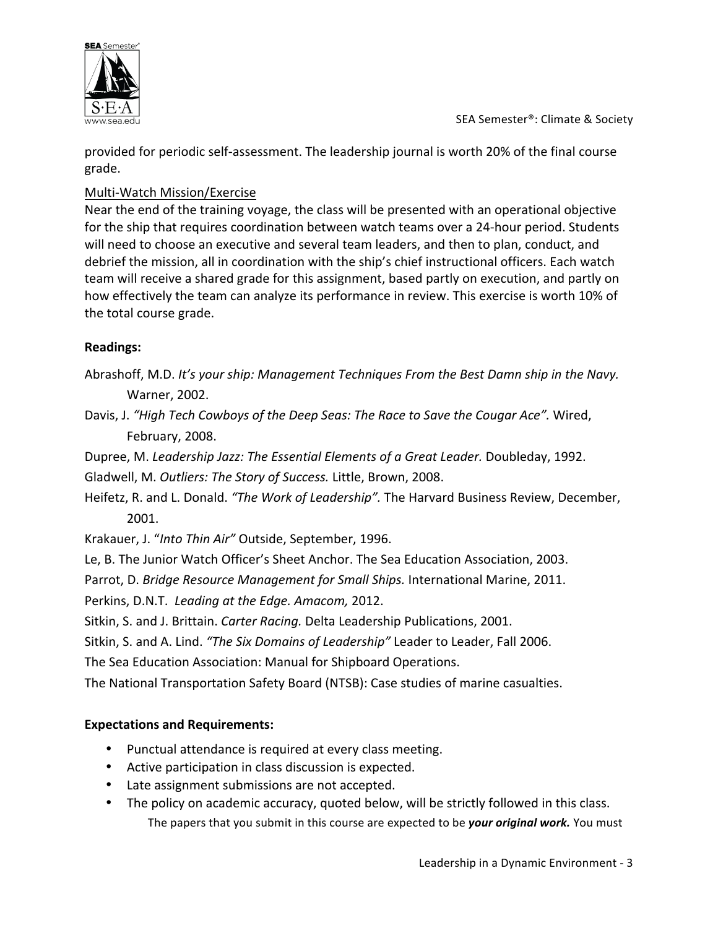

provided for periodic self-assessment. The leadership journal is worth 20% of the final course grade.

## Multi-Watch Mission/Exercise

Near the end of the training voyage, the class will be presented with an operational objective for the ship that requires coordination between watch teams over a 24-hour period. Students will need to choose an executive and several team leaders, and then to plan, conduct, and debrief the mission, all in coordination with the ship's chief instructional officers. Each watch team will receive a shared grade for this assignment, based partly on execution, and partly on how effectively the team can analyze its performance in review. This exercise is worth 10% of the total course grade.

## **Readings:**

- Abrashoff, M.D. It's your ship: Management Techniques From the Best Damn ship in the Navy. Warner, 2002.
- Davis, J. "High Tech Cowboys of the Deep Seas: The Race to Save the Cougar Ace". Wired, February, 2008.

Dupree, M. Leadership Jazz: The Essential Elements of a Great Leader. Doubleday, 1992. Gladwell, M. Outliers: The Story of Success. Little, Brown, 2008.

Heifetz, R. and L. Donald. *"The Work of Leadership"*. The Harvard Business Review, December, 2001.

Krakauer, J. "Into Thin Air" Outside, September, 1996.

Le, B. The Junior Watch Officer's Sheet Anchor. The Sea Education Association, 2003.

Parrot, D. *Bridge Resource Management for Small Ships*. International Marine, 2011.

Perkins, D.N.T. Leading at the Edge. Amacom, 2012.

Sitkin, S. and J. Brittain. *Carter Racing*. Delta Leadership Publications, 2001.

Sitkin, S. and A. Lind. "The Six Domains of Leadership" Leader to Leader, Fall 2006.

The Sea Education Association: Manual for Shipboard Operations.

The National Transportation Safety Board (NTSB): Case studies of marine casualties.

# **Expectations and Requirements:**

- Punctual attendance is required at every class meeting.
- Active participation in class discussion is expected.
- Late assignment submissions are not accepted.
- The policy on academic accuracy, quoted below, will be strictly followed in this class. The papers that you submit in this course are expected to be *your original work*. You must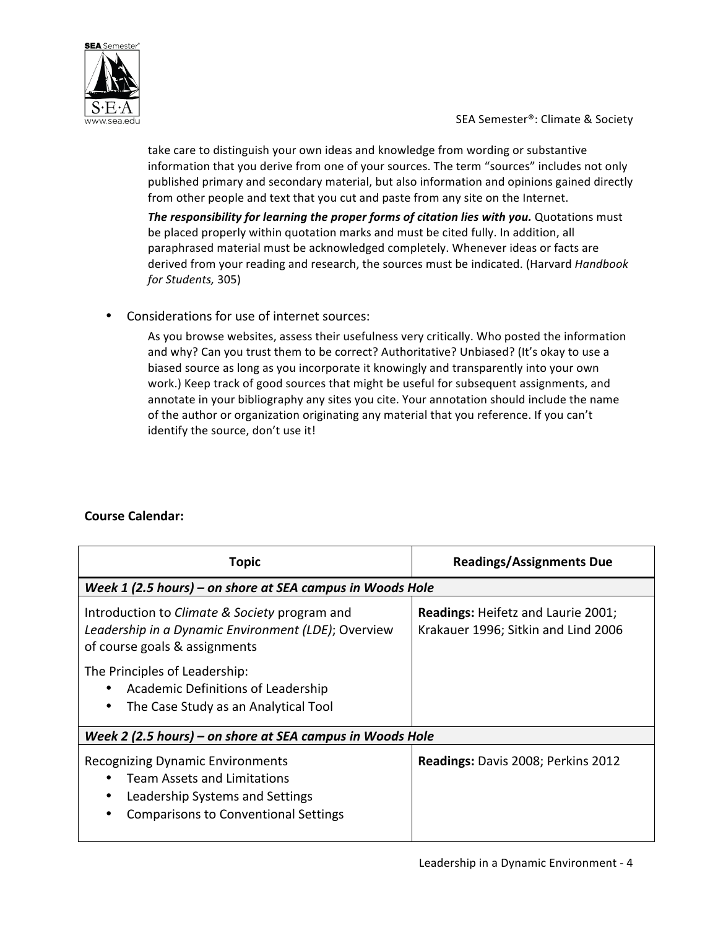

take care to distinguish your own ideas and knowledge from wording or substantive information that you derive from one of your sources. The term "sources" includes not only published primary and secondary material, but also information and opinions gained directly from other people and text that you cut and paste from any site on the Internet.

The responsibility for learning the proper forms of citation lies with you. Quotations must be placed properly within quotation marks and must be cited fully. In addition, all paraphrased material must be acknowledged completely. Whenever ideas or facts are derived from your reading and research, the sources must be indicated. (Harvard Handbook *for Students,* 305)

Considerations for use of internet sources:

As you browse websites, assess their usefulness very critically. Who posted the information and why? Can you trust them to be correct? Authoritative? Unbiased? (It's okay to use a biased source as long as you incorporate it knowingly and transparently into your own work.) Keep track of good sources that might be useful for subsequent assignments, and annotate in your bibliography any sites you cite. Your annotation should include the name of the author or organization originating any material that you reference. If you can't identify the source, don't use it!

## **Course Calendar:**

| Topic                                                                                                                                                           | <b>Readings/Assignments Due</b>                                                  |  |  |
|-----------------------------------------------------------------------------------------------------------------------------------------------------------------|----------------------------------------------------------------------------------|--|--|
| Week 1 (2.5 hours) – on shore at SEA campus in Woods Hole                                                                                                       |                                                                                  |  |  |
| Introduction to Climate & Society program and<br>Leadership in a Dynamic Environment (LDE); Overview<br>of course goals & assignments                           | <b>Readings: Heifetz and Laurie 2001;</b><br>Krakauer 1996; Sitkin and Lind 2006 |  |  |
| The Principles of Leadership:<br>Academic Definitions of Leadership<br>The Case Study as an Analytical Tool                                                     |                                                                                  |  |  |
| Week 2 (2.5 hours) – on shore at SEA campus in Woods Hole                                                                                                       |                                                                                  |  |  |
| <b>Recognizing Dynamic Environments</b><br><b>Team Assets and Limitations</b><br>Leadership Systems and Settings<br><b>Comparisons to Conventional Settings</b> | Readings: Davis 2008; Perkins 2012                                               |  |  |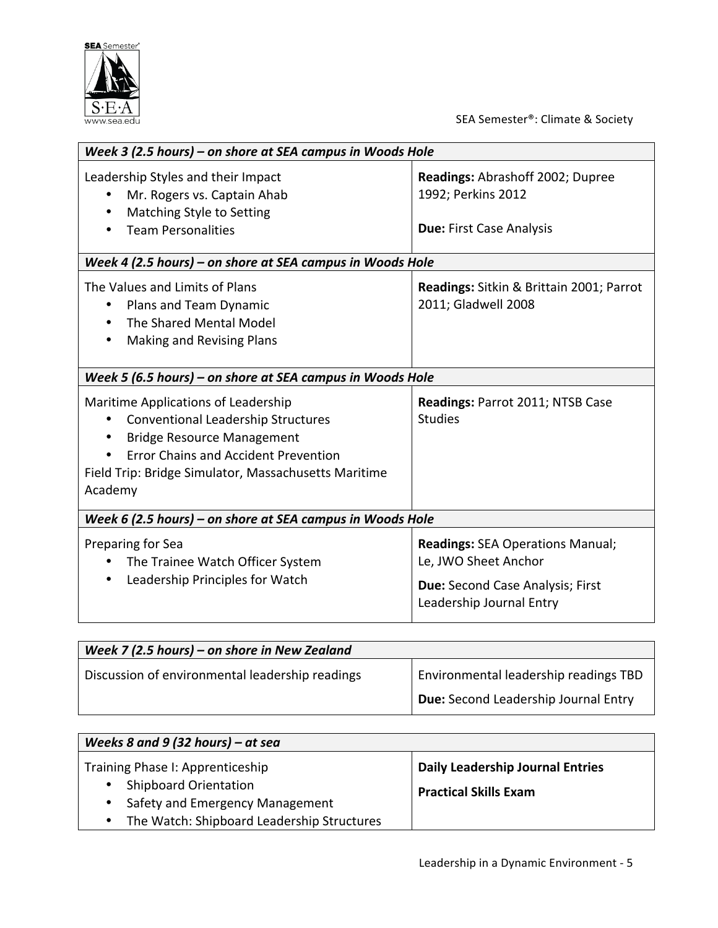

SEA Semester®: Climate & Society

| Week 3 (2.5 hours) - on shore at SEA campus in Woods Hole                                                                                                                                                                                            |                                                                                                                                 |  |
|------------------------------------------------------------------------------------------------------------------------------------------------------------------------------------------------------------------------------------------------------|---------------------------------------------------------------------------------------------------------------------------------|--|
| Leadership Styles and their Impact<br>Mr. Rogers vs. Captain Ahab<br>Matching Style to Setting<br>٠<br><b>Team Personalities</b>                                                                                                                     | Readings: Abrashoff 2002; Dupree<br>1992; Perkins 2012<br><b>Due: First Case Analysis</b>                                       |  |
| Week 4 (2.5 hours) – on shore at SEA campus in Woods Hole                                                                                                                                                                                            |                                                                                                                                 |  |
| The Values and Limits of Plans<br>Plans and Team Dynamic<br>The Shared Mental Model<br>$\bullet$<br>Making and Revising Plans<br>$\bullet$                                                                                                           | Readings: Sitkin & Brittain 2001; Parrot<br>2011; Gladwell 2008                                                                 |  |
| Week 5 (6.5 hours) - on shore at SEA campus in Woods Hole                                                                                                                                                                                            |                                                                                                                                 |  |
| Maritime Applications of Leadership<br><b>Conventional Leadership Structures</b><br><b>Bridge Resource Management</b><br>$\bullet$<br><b>Error Chains and Accident Prevention</b><br>Field Trip: Bridge Simulator, Massachusetts Maritime<br>Academy | Readings: Parrot 2011; NTSB Case<br><b>Studies</b>                                                                              |  |
| Week 6 (2.5 hours) - on shore at SEA campus in Woods Hole                                                                                                                                                                                            |                                                                                                                                 |  |
| Preparing for Sea<br>The Trainee Watch Officer System<br>Leadership Principles for Watch<br>$\bullet$                                                                                                                                                | <b>Readings: SEA Operations Manual;</b><br>Le, JWO Sheet Anchor<br>Due: Second Case Analysis; First<br>Leadership Journal Entry |  |

| Week 7 (2.5 hours) – on shore in New Zealand    |                                       |
|-------------------------------------------------|---------------------------------------|
| Discussion of environmental leadership readings | Environmental leadership readings TBD |
|                                                 | Due: Second Leadership Journal Entry  |

| Weeks 8 and 9 (32 hours) – at sea                                                                                |                                                                         |  |
|------------------------------------------------------------------------------------------------------------------|-------------------------------------------------------------------------|--|
| Training Phase I: Apprenticeship<br><b>Shipboard Orientation</b><br>Safety and Emergency Management<br>$\bullet$ | <b>Daily Leadership Journal Entries</b><br><b>Practical Skills Exam</b> |  |
| The Watch: Shipboard Leadership Structures                                                                       |                                                                         |  |